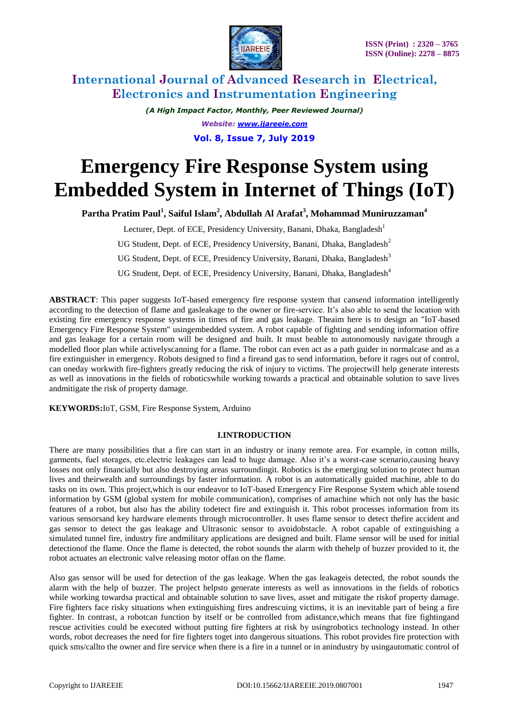

> *(A High Impact Factor, Monthly, Peer Reviewed Journal) Website: [www.ijareeie.com](http://www.ijareeie.com/)* **Vol. 8, Issue 7, July 2019**

# **Emergency Fire Response System using Embedded System in Internet of Things (IoT)**

**Partha Pratim Paul<sup>1</sup> , Saiful Islam<sup>2</sup> , Abdullah Al Arafat<sup>3</sup> , Mohammad Muniruzzaman<sup>4</sup>**

Lecturer, Dept. of ECE, Presidency University, Banani, Dhaka, Bangladesh<sup>1</sup> UG Student, Dept. of ECE, Presidency University, Banani, Dhaka, Bangladesh<sup>2</sup> UG Student, Dept. of ECE, Presidency University, Banani, Dhaka, Bangladesh<sup>3</sup>

UG Student, Dept. of ECE, Presidency University, Banani, Dhaka, Bangladesh<sup>4</sup>

**ABSTRACT**: This paper suggests IoT-based emergency fire response system that cansend information intelligently according to the detection of flame and gasleakage to the owner or fire-service. It's also able to send the location with existing fire emergency response systems in times of fire and gas leakage. Theaim here is to design an "IoT-based Emergency Fire Response System" usingembedded system. A robot capable of fighting and sending information offire and gas leakage for a certain room will be designed and built. It must beable to autonomously navigate through a modelled floor plan while activelyscanning for a flame. The robot can even act as a path guider in normalcase and as a fire extinguisher in emergency. Robots designed to find a fireand gas to send information, before it rages out of control, can oneday workwith fire-fighters greatly reducing the risk of injury to victims. The projectwill help generate interests as well as innovations in the fields of roboticswhile working towards a practical and obtainable solution to save lives andmitigate the risk of property damage.

**KEYWORDS:**IoT, GSM, Fire Response System, Arduino

#### **I.INTRODUCTION**

There are many possibilities that a fire can start in an industry or inany remote area. For example, in cotton mills, garments, fuel storages, etc.electric leakages can lead to huge damage. Also it's a worst-case scenario,causing heavy losses not only financially but also destroying areas surroundingit. Robotics is the emerging solution to protect human lives and theirwealth and surroundings by faster information. A robot is an automatically guided machine, able to do tasks on its own. This project,which is our endeavor to IoT-based Emergency Fire Response System which able tosend information by GSM (global system for mobile communication), comprises of amachine which not only has the basic features of a robot, but also has the ability todetect fire and extinguish it. This robot processes information from its various sensorsand key hardware elements through microcontroller. It uses flame sensor to detect thefire accident and gas sensor to detect the gas leakage and Ultrasonic sensor to avoidobstacle. A robot capable of extinguishing a simulated tunnel fire, industry fire andmilitary applications are designed and built. Flame sensor will be used for initial detectionof the flame. Once the flame is detected, the robot sounds the alarm with thehelp of buzzer provided to it, the robot actuates an electronic valve releasing motor offan on the flame.

Also gas sensor will be used for detection of the gas leakage. When the gas leakageis detected, the robot sounds the alarm with the help of buzzer. The project helpsto generate interests as well as innovations in the fields of robotics while working towardsa practical and obtainable solution to save lives, asset and mitigate the riskof property damage. Fire fighters face risky situations when extinguishing fires andrescuing victims, it is an inevitable part of being a fire fighter. In contrast, a robotcan function by itself or be controlled from adistance,which means that fire fightingand rescue activities could be executed without putting fire fighters at risk by usingrobotics technology instead. In other words, robot decreases the need for fire fighters toget into dangerous situations. This robot provides fire protection with quick sms/callto the owner and fire service when there is a fire in a tunnel or in anindustry by usingautomatic control of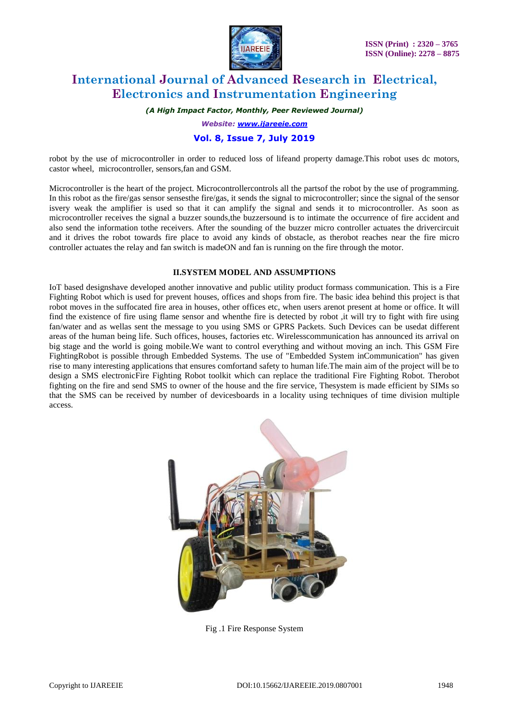

*(A High Impact Factor, Monthly, Peer Reviewed Journal)*

*Website: [www.ijareeie.com](http://www.ijareeie.com/)*

### **Vol. 8, Issue 7, July 2019**

robot by the use of microcontroller in order to reduced loss of lifeand property damage.This robot uses dc motors, castor wheel, microcontroller, sensors,fan and GSM.

Microcontroller is the heart of the project. Microcontrollercontrols all the partsof the robot by the use of programming. In this robot as the fire/gas sensor sensesthe fire/gas, it sends the signal to microcontroller; since the signal of the sensor isvery weak the amplifier is used so that it can amplify the signal and sends it to microcontroller. As soon as microcontroller receives the signal a buzzer sounds,the buzzersound is to intimate the occurrence of fire accident and also send the information tothe receivers. After the sounding of the buzzer micro controller actuates the drivercircuit and it drives the robot towards fire place to avoid any kinds of obstacle, as therobot reaches near the fire micro controller actuates the relay and fan switch is madeON and fan is running on the fire through the motor.

#### **II.SYSTEM MODEL AND ASSUMPTIONS**

IoT based designshave developed another innovative and public utility product formass communication. This is a Fire Fighting Robot which is used for prevent houses, offices and shops from fire. The basic idea behind this project is that robot moves in the suffocated fire area in houses, other offices etc, when users arenot present at home or office. It will find the existence of fire using flame sensor and whenthe fire is detected by robot ,it will try to fight with fire using fan/water and as wellas sent the message to you using SMS or GPRS Packets. Such Devices can be usedat different areas of the human being life. Such offices, houses, factories etc. Wirelesscommunication has announced its arrival on big stage and the world is going mobile.We want to control everything and without moving an inch. This GSM Fire FightingRobot is possible through Embedded Systems. The use of "Embedded System inCommunication" has given rise to many interesting applications that ensures comfortand safety to human life.The main aim of the project will be to design a SMS electronicFire Fighting Robot toolkit which can replace the traditional Fire Fighting Robot. Therobot fighting on the fire and send SMS to owner of the house and the fire service, Thesystem is made efficient by SIMs so that the SMS can be received by number of devicesboards in a locality using techniques of time division multiple access.



Fig .1 Fire Response System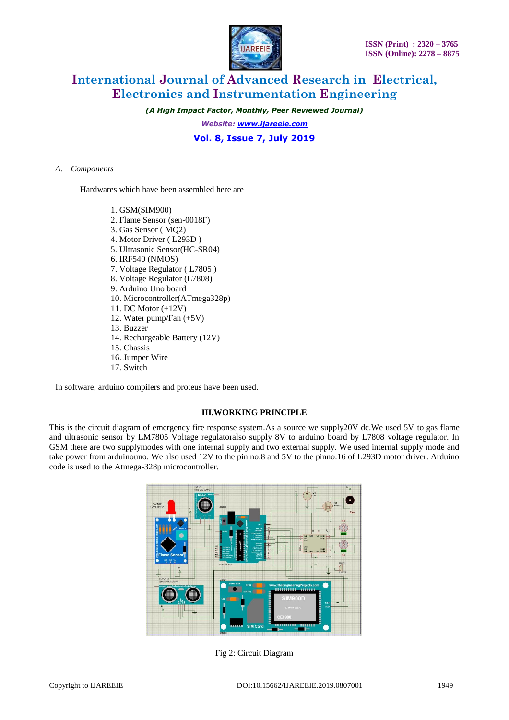*(A High Impact Factor, Monthly, Peer Reviewed Journal)*

*Website: [www.ijareeie.com](http://www.ijareeie.com/)*

**Vol. 8, Issue 7, July 2019**

#### *A. Components*

Hardwares which have been assembled here are

- 1. GSM(SIM900)
- 2. Flame Sensor (sen-0018F)
- 3. Gas Sensor ( MQ2)
- 4. Motor Driver ( L293D )
- 5. Ultrasonic Sensor(HC-SR04)
- 6. IRF540 (NMOS)
- 7. Voltage Regulator ( L7805 )
- 8. Voltage Regulator (L7808)
- 9. Arduino Uno board
- 10. Microcontroller(ATmega328p)
- 11. DC Motor (+12V)
- 12. Water pump/Fan (+5V)
- 13. Buzzer
- 14. Rechargeable Battery (12V)
- 15. Chassis
- 16. Jumper Wire
- 17. Switch

In software, arduino compilers and proteus have been used.

#### **III.WORKING PRINCIPLE**

This is the circuit diagram of emergency fire response system.As a source we supply20V dc.We used 5V to gas flame and ultrasonic sensor by LM7805 Voltage regulatoralso supply 8V to arduino board by L7808 voltage regulator. In GSM there are two supplymodes with one internal supply and two external supply. We used internal supply mode and take power from arduinouno. We also used 12V to the pin no.8 and 5V to the pinno.16 of L293D motor driver. Arduino code is used to the Atmega-328p microcontroller.



Fig 2: Circuit Diagram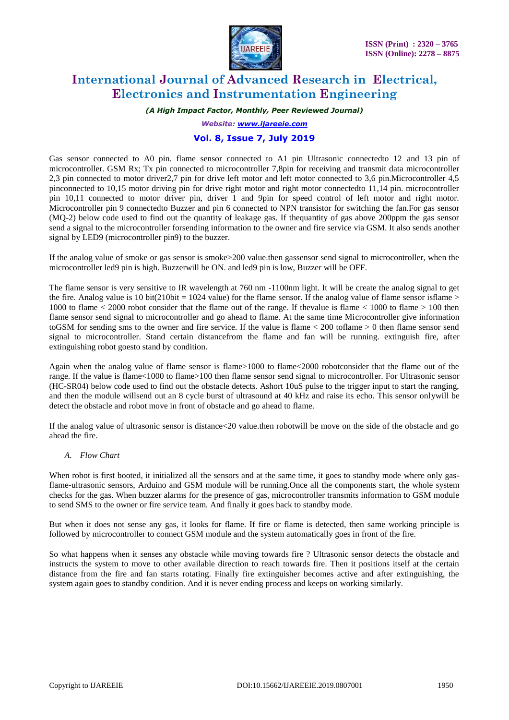

*(A High Impact Factor, Monthly, Peer Reviewed Journal)*

*Website: [www.ijareeie.com](http://www.ijareeie.com/)*

### **Vol. 8, Issue 7, July 2019**

Gas sensor connected to A0 pin. flame sensor connected to A1 pin Ultrasonic connectedto 12 and 13 pin of microcontroller. GSM Rx; Tx pin connected to microcontroller 7,8pin for receiving and transmit data microcontroller 2,3 pin connected to motor driver2,7 pin for drive left motor and left motor connected to 3,6 pin.Microcontroller 4,5 pinconnected to 10,15 motor driving pin for drive right motor and right motor connectedto 11,14 pin. microcontroller pin 10,11 connected to motor driver pin, driver 1 and 9pin for speed control of left motor and right motor. Microcontroller pin 9 connectedto Buzzer and pin 6 connected to NPN transistor for switching the fan.For gas sensor (MQ-2) below code used to find out the quantity of leakage gas. If thequantity of gas above 200ppm the gas sensor send a signal to the microcontroller forsending information to the owner and fire service via GSM. It also sends another signal by LED9 (microcontroller pin9) to the buzzer.

If the analog value of smoke or gas sensor is smoke>200 value.then gassensor send signal to microcontroller, when the microcontroller led9 pin is high. Buzzerwill be ON. and led9 pin is low, Buzzer will be OFF.

The flame sensor is very sensitive to IR wavelength at 760 nm -1100nm light. It will be create the analog signal to get the fire. Analog value is 10 bit(210bit = 1024 value) for the flame sensor. If the analog value of flame sensor isflame > 1000 to flame < 2000 robot consider that the flame out of the range. If thevalue is flame < 1000 to flame > 100 then flame sensor send signal to microcontroller and go ahead to flame. At the same time Microcontroller give information toGSM for sending sms to the owner and fire service. If the value is flame  $\lt$  200 toflame  $\gt$  0 then flame sensor send signal to microcontroller. Stand certain distancefrom the flame and fan will be running. extinguish fire, after extinguishing robot goesto stand by condition.

Again when the analog value of flame sensor is flame>1000 to flame<2000 robotconsider that the flame out of the range. If the value is flame<1000 to flame>100 then flame sensor send signal to microcontroller. For Ultrasonic sensor (HC-SR04) below code used to find out the obstacle detects. Ashort 10uS pulse to the trigger input to start the ranging, and then the module willsend out an 8 cycle burst of ultrasound at 40 kHz and raise its echo. This sensor onlywill be detect the obstacle and robot move in front of obstacle and go ahead to flame.

If the analog value of ultrasonic sensor is distance<20 value.then robotwill be move on the side of the obstacle and go ahead the fire.

#### *A. Flow Chart*

When robot is first booted, it initialized all the sensors and at the same time, it goes to standby mode where only gasflame-ultrasonic sensors, Arduino and GSM module will be running.Once all the components start, the whole system checks for the gas. When buzzer alarms for the presence of gas, microcontroller transmits information to GSM module to send SMS to the owner or fire service team. And finally it goes back to standby mode.

But when it does not sense any gas, it looks for flame. If fire or flame is detected, then same working principle is followed by microcontroller to connect GSM module and the system automatically goes in front of the fire.

So what happens when it senses any obstacle while moving towards fire ? Ultrasonic sensor detects the obstacle and instructs the system to move to other available direction to reach towards fire. Then it positions itself at the certain distance from the fire and fan starts rotating. Finally fire extinguisher becomes active and after extinguishing, the system again goes to standby condition. And it is never ending process and keeps on working similarly.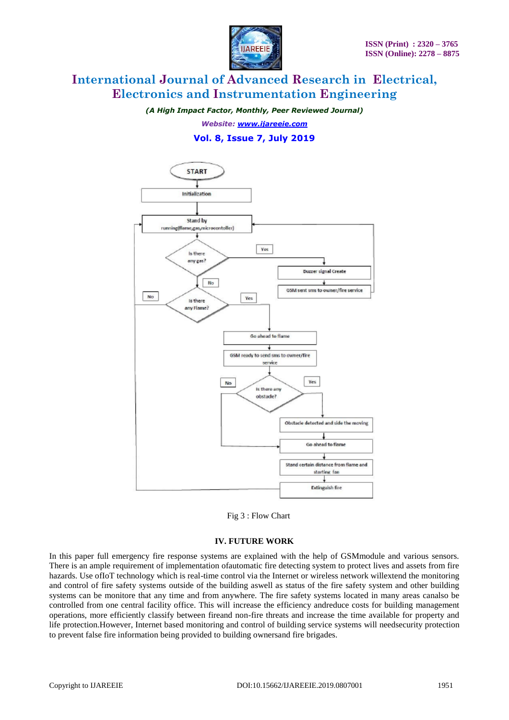

*(A High Impact Factor, Monthly, Peer Reviewed Journal)*

*Website: [www.ijareeie.com](http://www.ijareeie.com/)*

### **Vol. 8, Issue 7, July 2019**





#### **IV. FUTURE WORK**

In this paper full emergency fire response systems are explained with the help of GSMmodule and various sensors. There is an ample requirement of implementation ofautomatic fire detecting system to protect lives and assets from fire hazards. Use ofIoT technology which is real-time control via the Internet or wireless network willextend the monitoring and control of fire safety systems outside of the building aswell as status of the fire safety system and other building systems can be monitore that any time and from anywhere. The fire safety systems located in many areas canalso be controlled from one central facility office. This will increase the efficiency andreduce costs for building management operations, more efficiently classify between fireand non-fire threats and increase the time available for property and life protection.However, Internet based monitoring and control of building service systems will needsecurity protection to prevent false fire information being provided to building ownersand fire brigades.